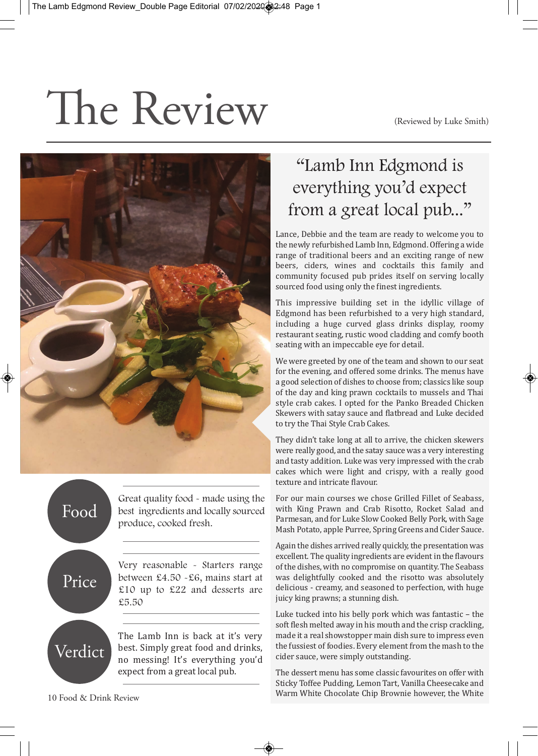(Reviewed by Luke Smith)

## The Review



Food Price Great quality food - made using the best ingredients and locally sourced produce, cooked fresh.

Very reasonable - Starters range between £4.50 -£6, mains start at £10 up to £22 and desserts are £5.50

The Lamb Inn is back at it's very best. Simply great food and drinks, no messing! It's everything you'd expect from a great local pub.

## "Lamb Inn Edgmond is everything you'd expect from a great local pub..."

Lance, Debbie and the team are ready to welcome you to the newly refurbished Lamb Inn, Edgmond. Offering a wide range of traditional beers and an exciting range of new beers, ciders, wines and cocktails this family and community focused pub prides itself on serving locally sourced food using only the finest ingredients.

This impressive building set in the idyllic village of Edgmond has been refurbished to a very high standard, including a huge curved glass drinks display, roomy restaurant seating, rustic wood cladding and comfy booth seating with an impeccable eye for detail.

We were greeted by one of the team and shown to our seat for the evening, and offered some drinks. The menus have a good selection of dishes to choose from; classics like soup of the day and king prawn cocktails to mussels and Thai style crab cakes. I opted for the Panko Breaded Chicken Skewers with satay sauce and flatbread and Luke decided to try the Thai Style Crab Cakes.

They didn't take long at all to arrive, the chicken skewers were really good, and the satay sauce was a very interesting and tasty addition. Luke was very impressed with the crab cakes which were light and crispy, with a really good texture and intricate flavour.

For our main courses we chose Grilled Fillet of Seabass, with King Prawn and Crab Risotto, Rocket Salad and Parmesan, and for Luke Slow Cooked Belly Pork, with Sage Mash Potato, apple Purree, Spring Greens and Cider Sauce.

Again the dishes arrived really quickly, the presentation was excellent. The quality ingredients are evident in the flavours of the dishes, with no compromise on quantity. The Seabass was delightfully cooked and the risotto was absolutely delicious - creamy, and seasoned to perfection, with huge juicy king prawns; a stunning dish.

Luke tucked into his belly pork which was fantastic – the soft flesh melted away in his mouth and the crisp crackling, made it a real showstopper main dish sure to impress even the fussiest of foodies. Every element from the mash to the cider sauce, were simply outstanding.

The dessert menu has some classic favourites on offer with Sticky Toffee Pudding, Lemon Tart, Vanilla Cheesecake and Warm White Chocolate Chip Brownie however, the White

Verdict